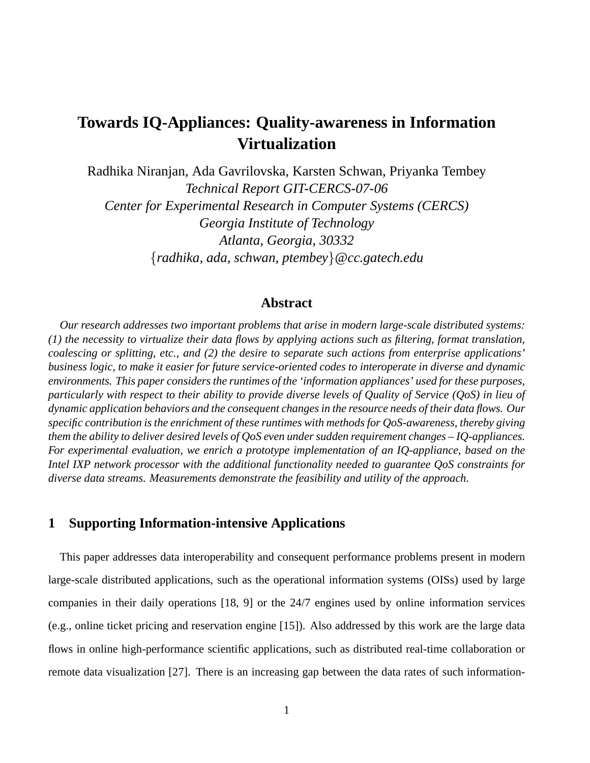# **Towards IQ-Appliances: Quality-awareness in Information Virtualization**

Radhika Niranjan, Ada Gavrilovska, Karsten Schwan, Priyanka Tembey *Technical Report GIT-CERCS-07-06 Center for Experimental Research in Computer Systems (CERCS) Georgia Institute of Technology Atlanta, Georgia, 30332* {*radhika, ada, schwan, ptembey*}*@cc.gatech.edu*

### **Abstract**

*Our research addresses two important problems that arise in modern large-scale distributed systems: (1) the necessity to virtualize their data flows by applying actions such as filtering, format translation, coalescing or splitting, etc., and (2) the desire to separate such actions from enterprise applications' business logic, to make it easier for future service-oriented codes to interoperate in diverse and dynamic environments. This paper considers the runtimes of the 'information appliances' used for these purposes, particularly with respect to their ability to provide diverse levels of Quality of Service (QoS) in lieu of dynamic application behaviors and the consequent changes in the resource needs of their data flows. Our specific contribution is the enrichment of these runtimes with methods for QoS-awareness, thereby giving them the ability to deliver desired levels of QoS even under sudden requirement changes – IQ-appliances. For experimental evaluation, we enrich a prototype implementation of an IQ-appliance, based on the Intel IXP network processor with the additional functionality needed to guarantee QoS constraints for diverse data streams. Measurements demonstrate the feasibility and utility of the approach.*

### **1 Supporting Information-intensive Applications**

This paper addresses data interoperability and consequent performance problems present in modern large-scale distributed applications, such as the operational information systems (OISs) used by large companies in their daily operations [18, 9] or the 24/7 engines used by online information services (e.g., online ticket pricing and reservation engine [15]). Also addressed by this work are the large data flows in online high-performance scientific applications, such as distributed real-time collaboration or remote data visualization [27]. There is an increasing gap between the data rates of such information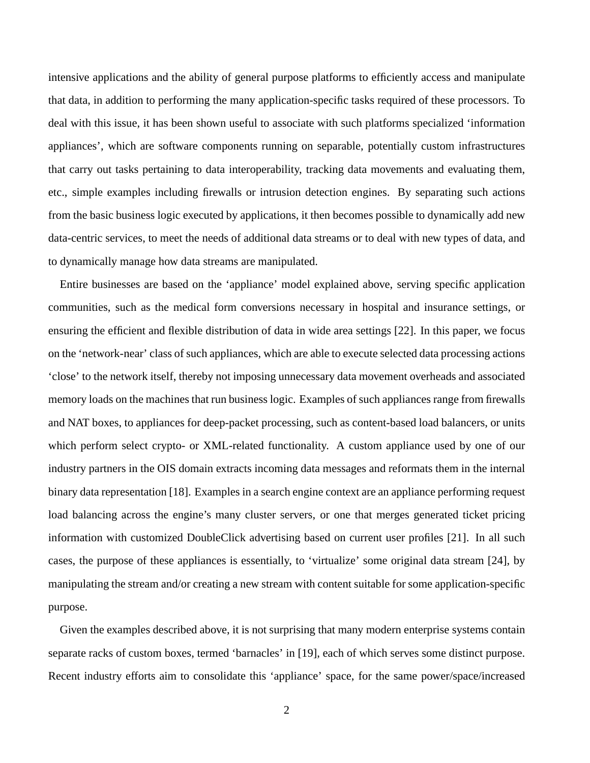intensive applications and the ability of general purpose platforms to efficiently access and manipulate that data, in addition to performing the many application-specific tasks required of these processors. To deal with this issue, it has been shown useful to associate with such platforms specialized 'information appliances', which are software components running on separable, potentially custom infrastructures that carry out tasks pertaining to data interoperability, tracking data movements and evaluating them, etc., simple examples including firewalls or intrusion detection engines. By separating such actions from the basic business logic executed by applications, it then becomes possible to dynamically add new data-centric services, to meet the needs of additional data streams or to deal with new types of data, and to dynamically manage how data streams are manipulated.

Entire businesses are based on the 'appliance' model explained above, serving specific application communities, such as the medical form conversions necessary in hospital and insurance settings, or ensuring the efficient and flexible distribution of data in wide area settings [22]. In this paper, we focus on the 'network-near' class of such appliances, which are able to execute selected data processing actions 'close' to the network itself, thereby not imposing unnecessary data movement overheads and associated memory loads on the machines that run business logic. Examples of such appliances range from firewalls and NAT boxes, to appliances for deep-packet processing, such as content-based load balancers, or units which perform select crypto- or XML-related functionality. A custom appliance used by one of our industry partners in the OIS domain extracts incoming data messages and reformats them in the internal binary data representation [18]. Examples in a search engine context are an appliance performing request load balancing across the engine's many cluster servers, or one that merges generated ticket pricing information with customized DoubleClick advertising based on current user profiles [21]. In all such cases, the purpose of these appliances is essentially, to 'virtualize' some original data stream [24], by manipulating the stream and/or creating a new stream with content suitable for some application-specific purpose.

Given the examples described above, it is not surprising that many modern enterprise systems contain separate racks of custom boxes, termed 'barnacles' in [19], each of which serves some distinct purpose. Recent industry efforts aim to consolidate this 'appliance' space, for the same power/space/increased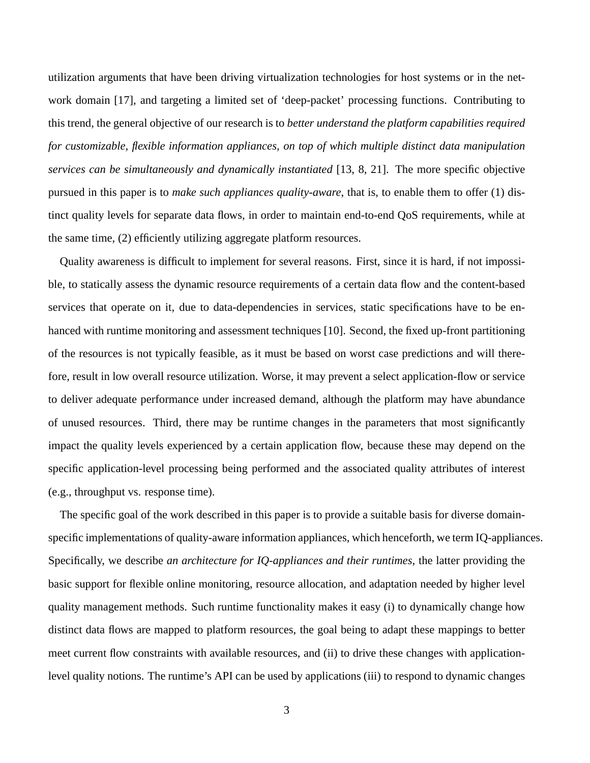utilization arguments that have been driving virtualization technologies for host systems or in the network domain [17], and targeting a limited set of 'deep-packet' processing functions. Contributing to this trend, the general objective of our research is to *better understand the platform capabilities required for customizable, flexible information appliances, on top of which multiple distinct data manipulation services can be simultaneously and dynamically instantiated* [13, 8, 21]. The more specific objective pursued in this paper is to *make such appliances quality-aware*, that is, to enable them to offer (1) distinct quality levels for separate data flows, in order to maintain end-to-end QoS requirements, while at the same time, (2) efficiently utilizing aggregate platform resources.

Quality awareness is difficult to implement for several reasons. First, since it is hard, if not impossible, to statically assess the dynamic resource requirements of a certain data flow and the content-based services that operate on it, due to data-dependencies in services, static specifications have to be enhanced with runtime monitoring and assessment techniques [10]. Second, the fixed up-front partitioning of the resources is not typically feasible, as it must be based on worst case predictions and will therefore, result in low overall resource utilization. Worse, it may prevent a select application-flow or service to deliver adequate performance under increased demand, although the platform may have abundance of unused resources. Third, there may be runtime changes in the parameters that most significantly impact the quality levels experienced by a certain application flow, because these may depend on the specific application-level processing being performed and the associated quality attributes of interest (e.g., throughput vs. response time).

The specific goal of the work described in this paper is to provide a suitable basis for diverse domainspecific implementations of quality-aware information appliances, which henceforth, we term IQ-appliances. Specifically, we describe *an architecture for IQ-appliances and their runtimes*, the latter providing the basic support for flexible online monitoring, resource allocation, and adaptation needed by higher level quality management methods. Such runtime functionality makes it easy (i) to dynamically change how distinct data flows are mapped to platform resources, the goal being to adapt these mappings to better meet current flow constraints with available resources, and (ii) to drive these changes with applicationlevel quality notions. The runtime's API can be used by applications (iii) to respond to dynamic changes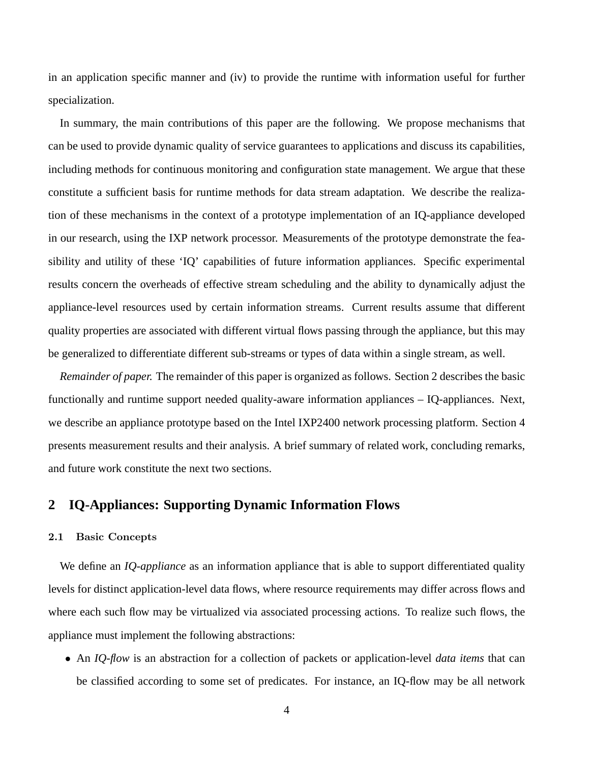in an application specific manner and (iv) to provide the runtime with information useful for further specialization.

In summary, the main contributions of this paper are the following. We propose mechanisms that can be used to provide dynamic quality of service guarantees to applications and discuss its capabilities, including methods for continuous monitoring and configuration state management. We argue that these constitute a sufficient basis for runtime methods for data stream adaptation. We describe the realization of these mechanisms in the context of a prototype implementation of an IQ-appliance developed in our research, using the IXP network processor. Measurements of the prototype demonstrate the feasibility and utility of these 'IQ' capabilities of future information appliances. Specific experimental results concern the overheads of effective stream scheduling and the ability to dynamically adjust the appliance-level resources used by certain information streams. Current results assume that different quality properties are associated with different virtual flows passing through the appliance, but this may be generalized to differentiate different sub-streams or types of data within a single stream, as well.

*Remainder of paper.* The remainder of this paper is organized as follows. Section 2 describes the basic functionally and runtime support needed quality-aware information appliances – IQ-appliances. Next, we describe an appliance prototype based on the Intel IXP2400 network processing platform. Section 4 presents measurement results and their analysis. A brief summary of related work, concluding remarks, and future work constitute the next two sections.

## **2 IQ-Appliances: Supporting Dynamic Information Flows**

#### 2.1 Basic Concepts

We define an *IQ-appliance* as an information appliance that is able to support differentiated quality levels for distinct application-level data flows, where resource requirements may differ across flows and where each such flow may be virtualized via associated processing actions. To realize such flows, the appliance must implement the following abstractions:

• An *IQ-flow* is an abstraction for a collection of packets or application-level *data items* that can be classified according to some set of predicates. For instance, an IQ-flow may be all network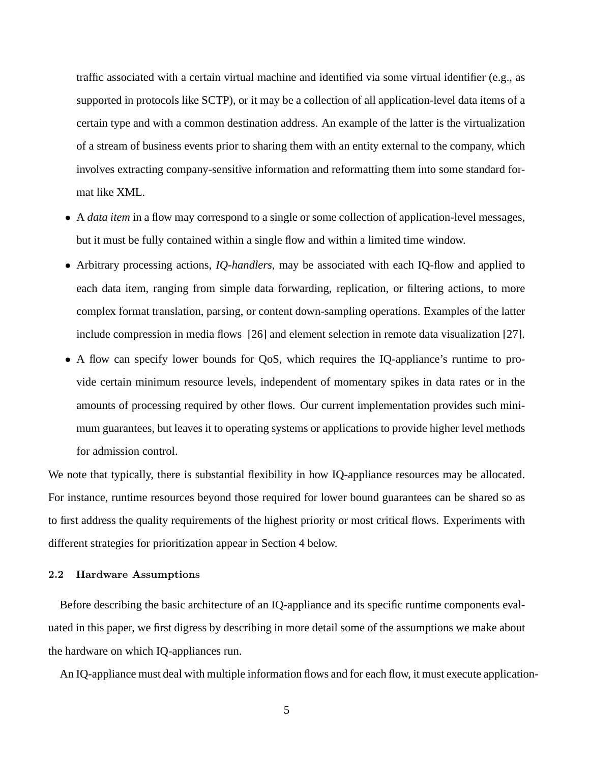traffic associated with a certain virtual machine and identified via some virtual identifier (e.g., as supported in protocols like SCTP), or it may be a collection of all application-level data items of a certain type and with a common destination address. An example of the latter is the virtualization of a stream of business events prior to sharing them with an entity external to the company, which involves extracting company-sensitive information and reformatting them into some standard format like XML.

- A *data item* in a flow may correspond to a single or some collection of application-level messages, but it must be fully contained within a single flow and within a limited time window.
- Arbitrary processing actions, *IQ-handlers*, may be associated with each IQ-flow and applied to each data item, ranging from simple data forwarding, replication, or filtering actions, to more complex format translation, parsing, or content down-sampling operations. Examples of the latter include compression in media flows [26] and element selection in remote data visualization [27].
- A flow can specify lower bounds for QoS, which requires the IQ-appliance's runtime to provide certain minimum resource levels, independent of momentary spikes in data rates or in the amounts of processing required by other flows. Our current implementation provides such minimum guarantees, but leaves it to operating systems or applications to provide higher level methods for admission control.

We note that typically, there is substantial flexibility in how IQ-appliance resources may be allocated. For instance, runtime resources beyond those required for lower bound guarantees can be shared so as to first address the quality requirements of the highest priority or most critical flows. Experiments with different strategies for prioritization appear in Section 4 below.

#### 2.2 Hardware Assumptions

Before describing the basic architecture of an IQ-appliance and its specific runtime components evaluated in this paper, we first digress by describing in more detail some of the assumptions we make about the hardware on which IQ-appliances run.

An IQ-appliance must deal with multiple information flows and for each flow, it must execute application-

5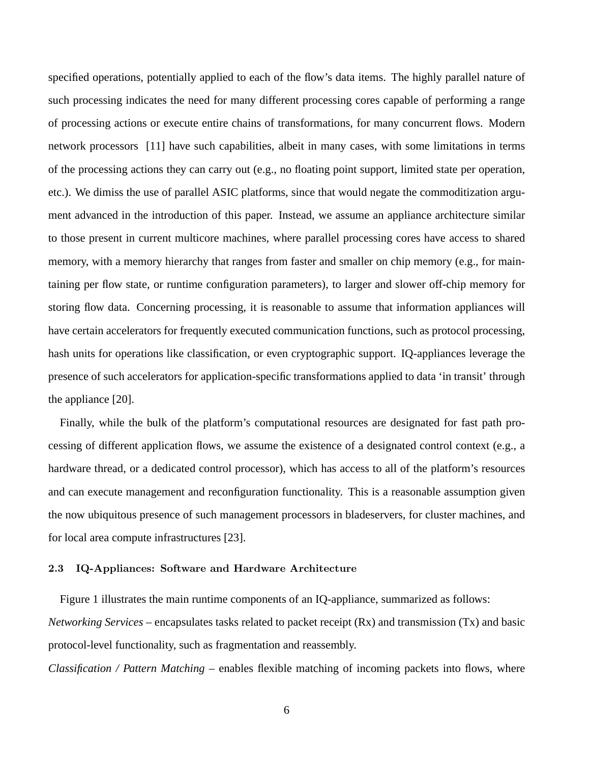specified operations, potentially applied to each of the flow's data items. The highly parallel nature of such processing indicates the need for many different processing cores capable of performing a range of processing actions or execute entire chains of transformations, for many concurrent flows. Modern network processors [11] have such capabilities, albeit in many cases, with some limitations in terms of the processing actions they can carry out (e.g., no floating point support, limited state per operation, etc.). We dimiss the use of parallel ASIC platforms, since that would negate the commoditization argument advanced in the introduction of this paper. Instead, we assume an appliance architecture similar to those present in current multicore machines, where parallel processing cores have access to shared memory, with a memory hierarchy that ranges from faster and smaller on chip memory (e.g., for maintaining per flow state, or runtime configuration parameters), to larger and slower off-chip memory for storing flow data. Concerning processing, it is reasonable to assume that information appliances will have certain accelerators for frequently executed communication functions, such as protocol processing, hash units for operations like classification, or even cryptographic support. IQ-appliances leverage the presence of such accelerators for application-specific transformations applied to data 'in transit' through the appliance [20].

Finally, while the bulk of the platform's computational resources are designated for fast path processing of different application flows, we assume the existence of a designated control context (e.g., a hardware thread, or a dedicated control processor), which has access to all of the platform's resources and can execute management and reconfiguration functionality. This is a reasonable assumption given the now ubiquitous presence of such management processors in bladeservers, for cluster machines, and for local area compute infrastructures [23].

### 2.3 IQ-Appliances: Software and Hardware Architecture

Figure 1 illustrates the main runtime components of an IQ-appliance, summarized as follows: *Networking Services* – encapsulates tasks related to packet receipt (Rx) and transmission (Tx) and basic protocol-level functionality, such as fragmentation and reassembly.

*Classification / Pattern Matching* – enables flexible matching of incoming packets into flows, where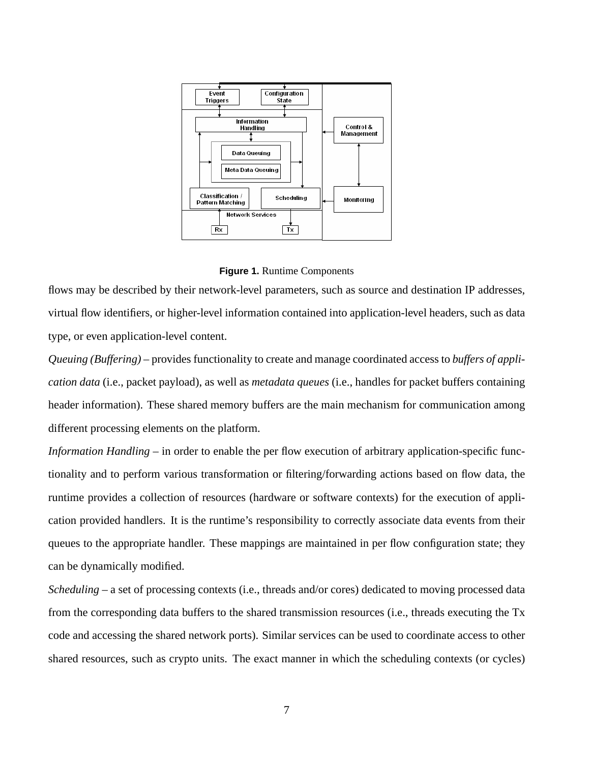



flows may be described by their network-level parameters, such as source and destination IP addresses, virtual flow identifiers, or higher-level information contained into application-level headers, such as data type, or even application-level content.

*Queuing (Buffering)* – provides functionality to create and manage coordinated access to *buffers of application data* (i.e., packet payload), as well as *metadata queues* (i.e., handles for packet buffers containing header information). These shared memory buffers are the main mechanism for communication among different processing elements on the platform.

*Information Handling* – in order to enable the per flow execution of arbitrary application-specific functionality and to perform various transformation or filtering/forwarding actions based on flow data, the runtime provides a collection of resources (hardware or software contexts) for the execution of application provided handlers. It is the runtime's responsibility to correctly associate data events from their queues to the appropriate handler. These mappings are maintained in per flow configuration state; they can be dynamically modified.

*Scheduling* – a set of processing contexts (i.e., threads and/or cores) dedicated to moving processed data from the corresponding data buffers to the shared transmission resources (i.e., threads executing the Tx code and accessing the shared network ports). Similar services can be used to coordinate access to other shared resources, such as crypto units. The exact manner in which the scheduling contexts (or cycles)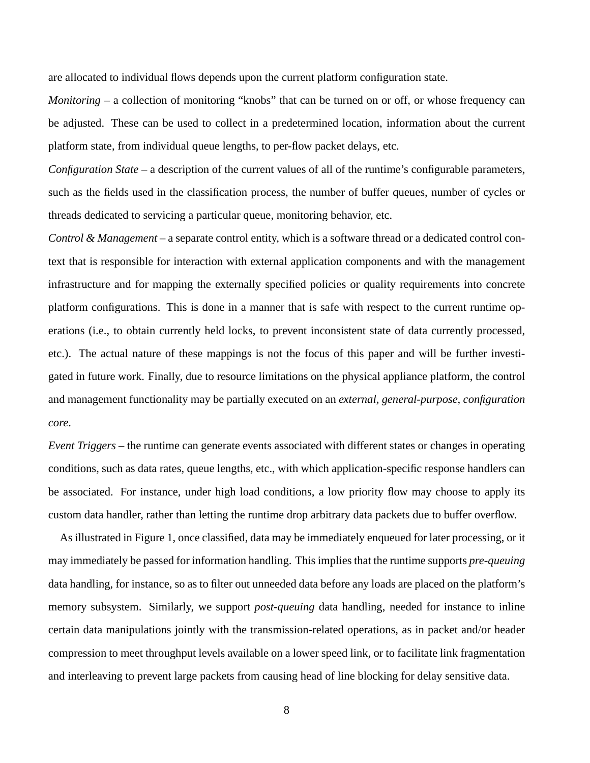are allocated to individual flows depends upon the current platform configuration state.

*Monitoring* – a collection of monitoring "knobs" that can be turned on or off, or whose frequency can be adjusted. These can be used to collect in a predetermined location, information about the current platform state, from individual queue lengths, to per-flow packet delays, etc.

*Configuration State* – a description of the current values of all of the runtime's configurable parameters, such as the fields used in the classification process, the number of buffer queues, number of cycles or threads dedicated to servicing a particular queue, monitoring behavior, etc.

*Control & Management* – a separate control entity, which is a software thread or a dedicated control context that is responsible for interaction with external application components and with the management infrastructure and for mapping the externally specified policies or quality requirements into concrete platform configurations. This is done in a manner that is safe with respect to the current runtime operations (i.e., to obtain currently held locks, to prevent inconsistent state of data currently processed, etc.). The actual nature of these mappings is not the focus of this paper and will be further investigated in future work. Finally, due to resource limitations on the physical appliance platform, the control and management functionality may be partially executed on an *external, general-purpose, configuration core*.

*Event Triggers* – the runtime can generate events associated with different states or changes in operating conditions, such as data rates, queue lengths, etc., with which application-specific response handlers can be associated. For instance, under high load conditions, a low priority flow may choose to apply its custom data handler, rather than letting the runtime drop arbitrary data packets due to buffer overflow.

As illustrated in Figure 1, once classified, data may be immediately enqueued for later processing, or it may immediately be passed for information handling. This implies that the runtime supports *pre-queuing* data handling, for instance, so as to filter out unneeded data before any loads are placed on the platform's memory subsystem. Similarly, we support *post-queuing* data handling, needed for instance to inline certain data manipulations jointly with the transmission-related operations, as in packet and/or header compression to meet throughput levels available on a lower speed link, or to facilitate link fragmentation and interleaving to prevent large packets from causing head of line blocking for delay sensitive data.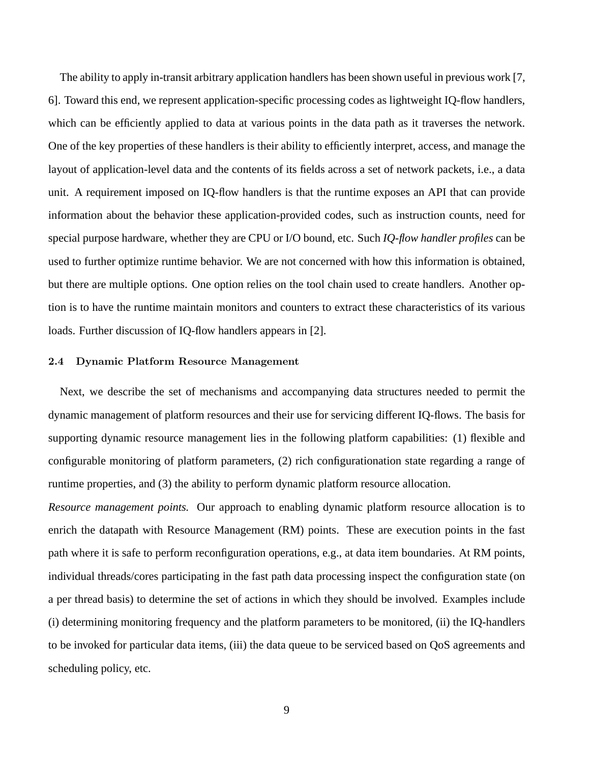The ability to apply in-transit arbitrary application handlers has been shown useful in previous work [7, 6]. Toward this end, we represent application-specific processing codes as lightweight IQ-flow handlers, which can be efficiently applied to data at various points in the data path as it traverses the network. One of the key properties of these handlers is their ability to efficiently interpret, access, and manage the layout of application-level data and the contents of its fields across a set of network packets, i.e., a data unit. A requirement imposed on IQ-flow handlers is that the runtime exposes an API that can provide information about the behavior these application-provided codes, such as instruction counts, need for special purpose hardware, whether they are CPU or I/O bound, etc. Such *IQ-flow handler profiles* can be used to further optimize runtime behavior. We are not concerned with how this information is obtained, but there are multiple options. One option relies on the tool chain used to create handlers. Another option is to have the runtime maintain monitors and counters to extract these characteristics of its various loads. Further discussion of IQ-flow handlers appears in [2].

#### 2.4 Dynamic Platform Resource Management

Next, we describe the set of mechanisms and accompanying data structures needed to permit the dynamic management of platform resources and their use for servicing different IQ-flows. The basis for supporting dynamic resource management lies in the following platform capabilities: (1) flexible and configurable monitoring of platform parameters, (2) rich configurationation state regarding a range of runtime properties, and (3) the ability to perform dynamic platform resource allocation.

*Resource management points.* Our approach to enabling dynamic platform resource allocation is to enrich the datapath with Resource Management (RM) points. These are execution points in the fast path where it is safe to perform reconfiguration operations, e.g., at data item boundaries. At RM points, individual threads/cores participating in the fast path data processing inspect the configuration state (on a per thread basis) to determine the set of actions in which they should be involved. Examples include (i) determining monitoring frequency and the platform parameters to be monitored, (ii) the IQ-handlers to be invoked for particular data items, (iii) the data queue to be serviced based on QoS agreements and scheduling policy, etc.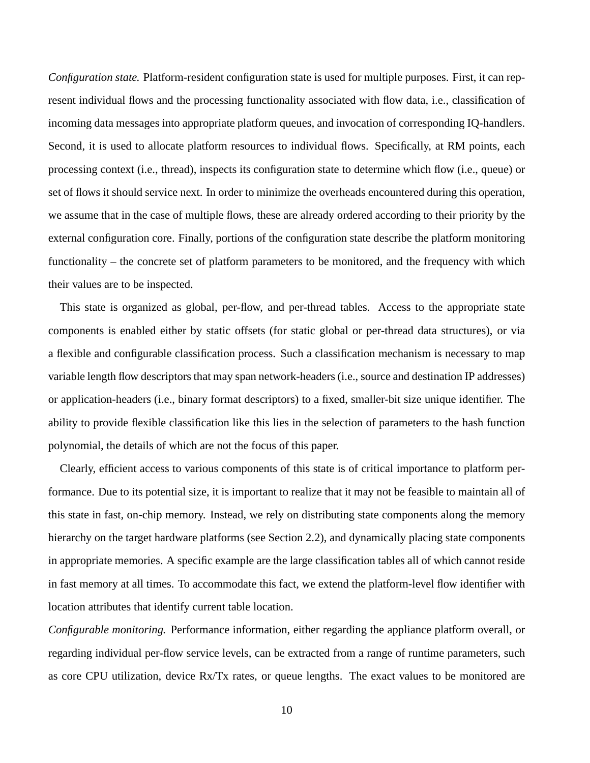*Configuration state.* Platform-resident configuration state is used for multiple purposes. First, it can represent individual flows and the processing functionality associated with flow data, i.e., classification of incoming data messages into appropriate platform queues, and invocation of corresponding IQ-handlers. Second, it is used to allocate platform resources to individual flows. Specifically, at RM points, each processing context (i.e., thread), inspects its configuration state to determine which flow (i.e., queue) or set of flows it should service next. In order to minimize the overheads encountered during this operation, we assume that in the case of multiple flows, these are already ordered according to their priority by the external configuration core. Finally, portions of the configuration state describe the platform monitoring functionality – the concrete set of platform parameters to be monitored, and the frequency with which their values are to be inspected.

This state is organized as global, per-flow, and per-thread tables. Access to the appropriate state components is enabled either by static offsets (for static global or per-thread data structures), or via a flexible and configurable classification process. Such a classification mechanism is necessary to map variable length flow descriptors that may span network-headers (i.e., source and destination IP addresses) or application-headers (i.e., binary format descriptors) to a fixed, smaller-bit size unique identifier. The ability to provide flexible classification like this lies in the selection of parameters to the hash function polynomial, the details of which are not the focus of this paper.

Clearly, efficient access to various components of this state is of critical importance to platform performance. Due to its potential size, it is important to realize that it may not be feasible to maintain all of this state in fast, on-chip memory. Instead, we rely on distributing state components along the memory hierarchy on the target hardware platforms (see Section 2.2), and dynamically placing state components in appropriate memories. A specific example are the large classification tables all of which cannot reside in fast memory at all times. To accommodate this fact, we extend the platform-level flow identifier with location attributes that identify current table location.

*Configurable monitoring.* Performance information, either regarding the appliance platform overall, or regarding individual per-flow service levels, can be extracted from a range of runtime parameters, such as core CPU utilization, device Rx/Tx rates, or queue lengths. The exact values to be monitored are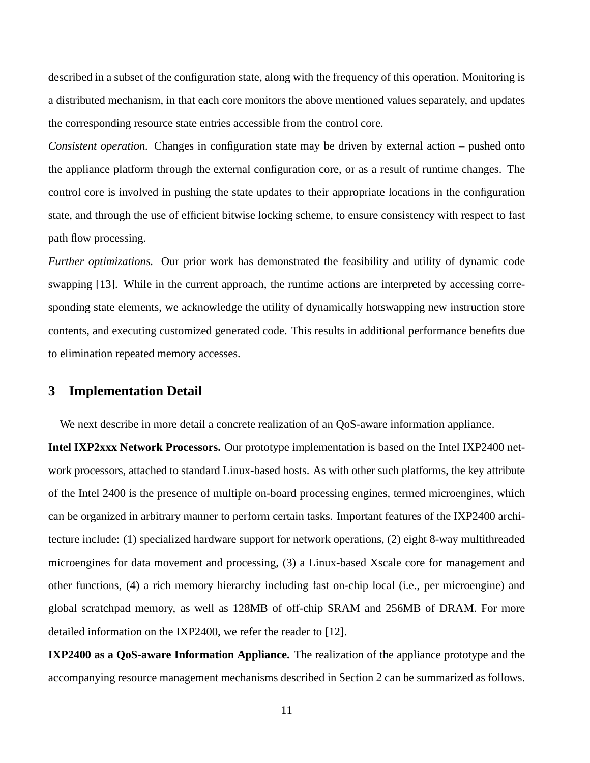described in a subset of the configuration state, along with the frequency of this operation. Monitoring is a distributed mechanism, in that each core monitors the above mentioned values separately, and updates the corresponding resource state entries accessible from the control core.

*Consistent operation.* Changes in configuration state may be driven by external action – pushed onto the appliance platform through the external configuration core, or as a result of runtime changes. The control core is involved in pushing the state updates to their appropriate locations in the configuration state, and through the use of efficient bitwise locking scheme, to ensure consistency with respect to fast path flow processing.

*Further optimizations.* Our prior work has demonstrated the feasibility and utility of dynamic code swapping [13]. While in the current approach, the runtime actions are interpreted by accessing corresponding state elements, we acknowledge the utility of dynamically hotswapping new instruction store contents, and executing customized generated code. This results in additional performance benefits due to elimination repeated memory accesses.

### **3 Implementation Detail**

We next describe in more detail a concrete realization of an OoS-aware information appliance.

**Intel IXP2xxx Network Processors.** Our prototype implementation is based on the Intel IXP2400 network processors, attached to standard Linux-based hosts. As with other such platforms, the key attribute of the Intel 2400 is the presence of multiple on-board processing engines, termed microengines, which can be organized in arbitrary manner to perform certain tasks. Important features of the IXP2400 architecture include: (1) specialized hardware support for network operations, (2) eight 8-way multithreaded microengines for data movement and processing, (3) a Linux-based Xscale core for management and other functions, (4) a rich memory hierarchy including fast on-chip local (i.e., per microengine) and global scratchpad memory, as well as 128MB of off-chip SRAM and 256MB of DRAM. For more detailed information on the IXP2400, we refer the reader to [12].

**IXP2400 as a QoS-aware Information Appliance.** The realization of the appliance prototype and the accompanying resource management mechanisms described in Section 2 can be summarized as follows.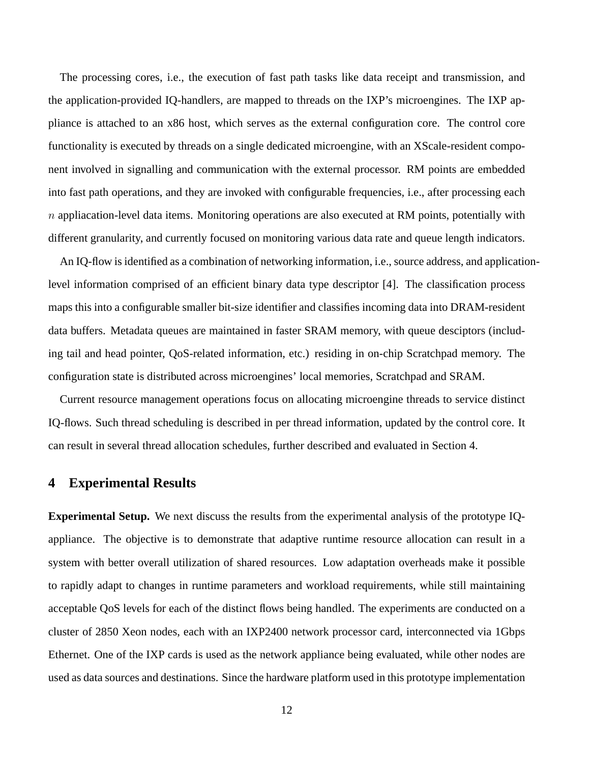The processing cores, i.e., the execution of fast path tasks like data receipt and transmission, and the application-provided IQ-handlers, are mapped to threads on the IXP's microengines. The IXP appliance is attached to an x86 host, which serves as the external configuration core. The control core functionality is executed by threads on a single dedicated microengine, with an XScale-resident component involved in signalling and communication with the external processor. RM points are embedded into fast path operations, and they are invoked with configurable frequencies, i.e., after processing each  $n$  appliacation-level data items. Monitoring operations are also executed at RM points, potentially with different granularity, and currently focused on monitoring various data rate and queue length indicators.

An IQ-flow is identified as a combination of networking information, i.e., source address, and applicationlevel information comprised of an efficient binary data type descriptor [4]. The classification process maps this into a configurable smaller bit-size identifier and classifies incoming data into DRAM-resident data buffers. Metadata queues are maintained in faster SRAM memory, with queue desciptors (including tail and head pointer, QoS-related information, etc.) residing in on-chip Scratchpad memory. The configuration state is distributed across microengines' local memories, Scratchpad and SRAM.

Current resource management operations focus on allocating microengine threads to service distinct IQ-flows. Such thread scheduling is described in per thread information, updated by the control core. It can result in several thread allocation schedules, further described and evaluated in Section 4.

### **4 Experimental Results**

**Experimental Setup.** We next discuss the results from the experimental analysis of the prototype IQappliance. The objective is to demonstrate that adaptive runtime resource allocation can result in a system with better overall utilization of shared resources. Low adaptation overheads make it possible to rapidly adapt to changes in runtime parameters and workload requirements, while still maintaining acceptable QoS levels for each of the distinct flows being handled. The experiments are conducted on a cluster of 2850 Xeon nodes, each with an IXP2400 network processor card, interconnected via 1Gbps Ethernet. One of the IXP cards is used as the network appliance being evaluated, while other nodes are used as data sources and destinations. Since the hardware platform used in this prototype implementation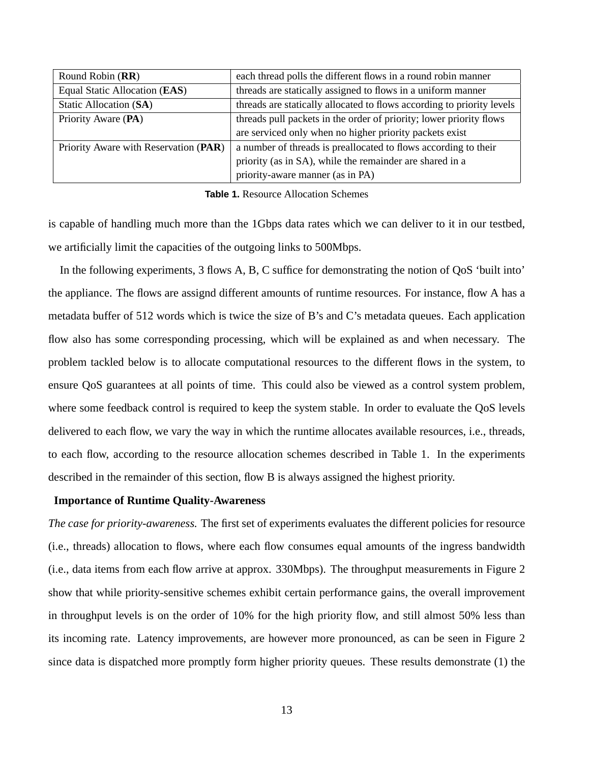| Round Robin (RR)                      | each thread polls the different flows in a round robin manner          |  |
|---------------------------------------|------------------------------------------------------------------------|--|
| Equal Static Allocation (EAS)         | threads are statically assigned to flows in a uniform manner           |  |
| Static Allocation (SA)                | threads are statically allocated to flows according to priority levels |  |
| Priority Aware (PA)                   | threads pull packets in the order of priority; lower priority flows    |  |
|                                       | are serviced only when no higher priority packets exist                |  |
| Priority Aware with Reservation (PAR) | a number of threads is preallocated to flows according to their        |  |
|                                       | priority (as in SA), while the remainder are shared in a               |  |
|                                       | priority-aware manner (as in PA)                                       |  |

**Table 1.** Resource Allocation Schemes

is capable of handling much more than the 1Gbps data rates which we can deliver to it in our testbed, we artificially limit the capacities of the outgoing links to 500Mbps.

In the following experiments, 3 flows A, B, C suffice for demonstrating the notion of QoS 'built into' the appliance. The flows are assignd different amounts of runtime resources. For instance, flow A has a metadata buffer of 512 words which is twice the size of B's and C's metadata queues. Each application flow also has some corresponding processing, which will be explained as and when necessary. The problem tackled below is to allocate computational resources to the different flows in the system, to ensure QoS guarantees at all points of time. This could also be viewed as a control system problem, where some feedback control is required to keep the system stable. In order to evaluate the QoS levels delivered to each flow, we vary the way in which the runtime allocates available resources, i.e., threads, to each flow, according to the resource allocation schemes described in Table 1. In the experiments described in the remainder of this section, flow B is always assigned the highest priority.

#### **Importance of Runtime Quality-Awareness**

*The case for priority-awareness.* The first set of experiments evaluates the different policies for resource (i.e., threads) allocation to flows, where each flow consumes equal amounts of the ingress bandwidth (i.e., data items from each flow arrive at approx. 330Mbps). The throughput measurements in Figure 2 show that while priority-sensitive schemes exhibit certain performance gains, the overall improvement in throughput levels is on the order of 10% for the high priority flow, and still almost 50% less than its incoming rate. Latency improvements, are however more pronounced, as can be seen in Figure 2 since data is dispatched more promptly form higher priority queues. These results demonstrate (1) the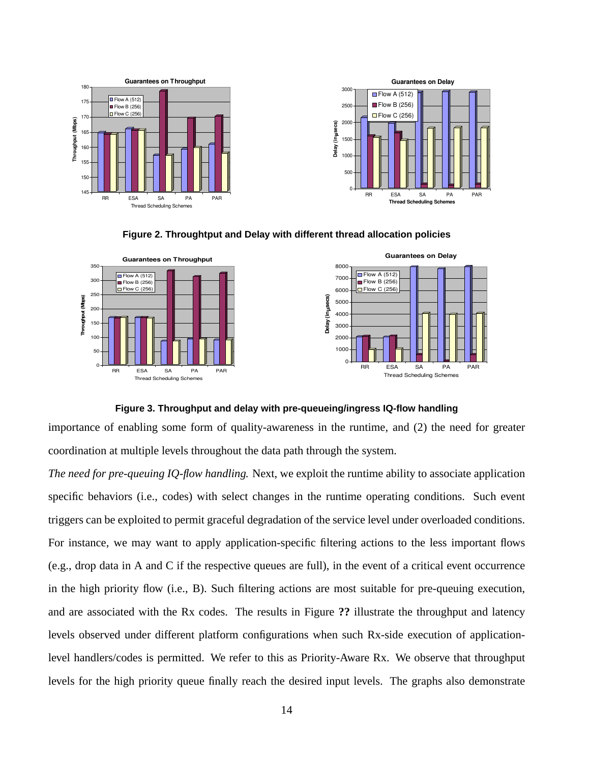







#### **Figure 3. Throughput and delay with pre-queueing/ingress IQ-flow handling**

importance of enabling some form of quality-awareness in the runtime, and (2) the need for greater coordination at multiple levels throughout the data path through the system.

*The need for pre-queuing IQ-flow handling.* Next, we exploit the runtime ability to associate application specific behaviors (i.e., codes) with select changes in the runtime operating conditions. Such event triggers can be exploited to permit graceful degradation of the service level under overloaded conditions. For instance, we may want to apply application-specific filtering actions to the less important flows (e.g., drop data in A and C if the respective queues are full), in the event of a critical event occurrence in the high priority flow (i.e., B). Such filtering actions are most suitable for pre-queuing execution, and are associated with the Rx codes. The results in Figure **??** illustrate the throughput and latency levels observed under different platform configurations when such Rx-side execution of applicationlevel handlers/codes is permitted. We refer to this as Priority-Aware Rx. We observe that throughput levels for the high priority queue finally reach the desired input levels. The graphs also demonstrate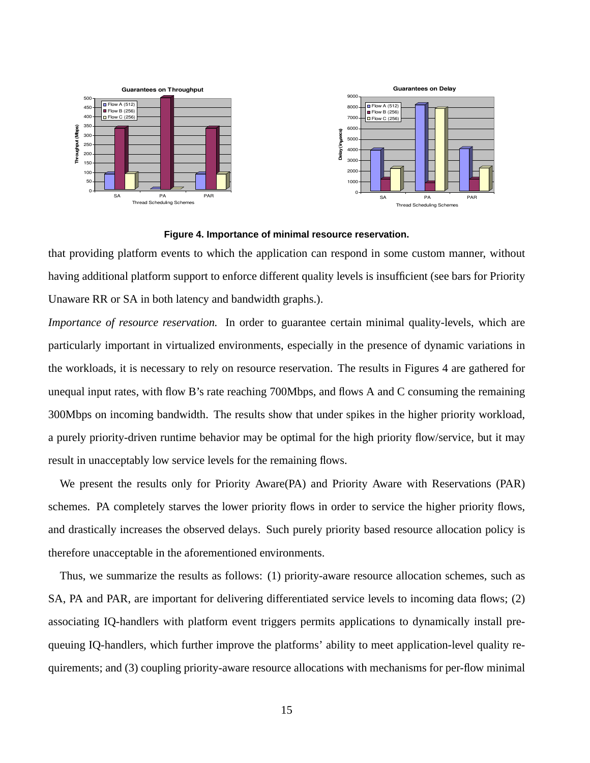

#### **Figure 4. Importance of minimal resource reservation.**

that providing platform events to which the application can respond in some custom manner, without having additional platform support to enforce different quality levels is insufficient (see bars for Priority Unaware RR or SA in both latency and bandwidth graphs.).

*Importance of resource reservation.* In order to guarantee certain minimal quality-levels, which are particularly important in virtualized environments, especially in the presence of dynamic variations in the workloads, it is necessary to rely on resource reservation. The results in Figures 4 are gathered for unequal input rates, with flow B's rate reaching 700Mbps, and flows A and C consuming the remaining 300Mbps on incoming bandwidth. The results show that under spikes in the higher priority workload, a purely priority-driven runtime behavior may be optimal for the high priority flow/service, but it may result in unacceptably low service levels for the remaining flows.

We present the results only for Priority Aware(PA) and Priority Aware with Reservations (PAR) schemes. PA completely starves the lower priority flows in order to service the higher priority flows, and drastically increases the observed delays. Such purely priority based resource allocation policy is therefore unacceptable in the aforementioned environments.

Thus, we summarize the results as follows: (1) priority-aware resource allocation schemes, such as SA, PA and PAR, are important for delivering differentiated service levels to incoming data flows; (2) associating IQ-handlers with platform event triggers permits applications to dynamically install prequeuing IQ-handlers, which further improve the platforms' ability to meet application-level quality requirements; and (3) coupling priority-aware resource allocations with mechanisms for per-flow minimal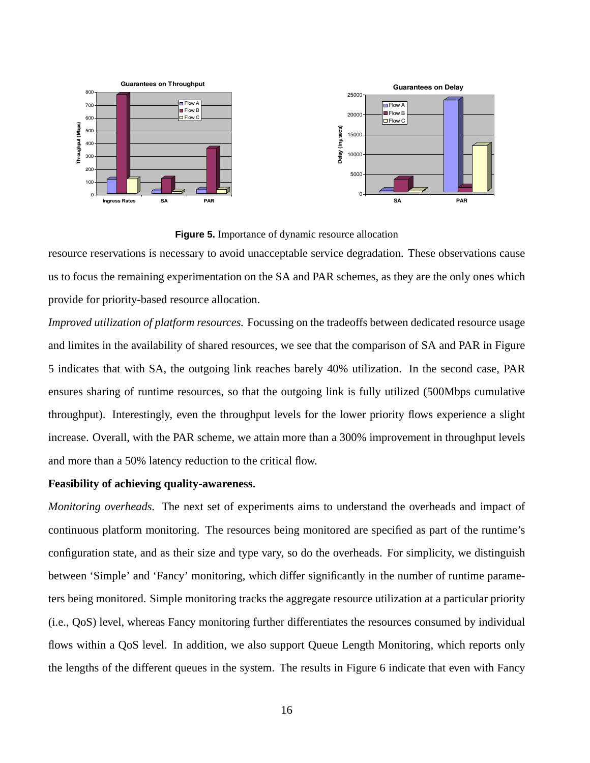

**Figure 5.** Importance of dynamic resource allocation

resource reservations is necessary to avoid unacceptable service degradation. These observations cause us to focus the remaining experimentation on the SA and PAR schemes, as they are the only ones which provide for priority-based resource allocation.

*Improved utilization of platform resources.* Focussing on the tradeoffs between dedicated resource usage and limites in the availability of shared resources, we see that the comparison of SA and PAR in Figure 5 indicates that with SA, the outgoing link reaches barely 40% utilization. In the second case, PAR ensures sharing of runtime resources, so that the outgoing link is fully utilized (500Mbps cumulative throughput). Interestingly, even the throughput levels for the lower priority flows experience a slight increase. Overall, with the PAR scheme, we attain more than a 300% improvement in throughput levels and more than a 50% latency reduction to the critical flow.

### **Feasibility of achieving quality-awareness.**

*Monitoring overheads.* The next set of experiments aims to understand the overheads and impact of continuous platform monitoring. The resources being monitored are specified as part of the runtime's configuration state, and as their size and type vary, so do the overheads. For simplicity, we distinguish between 'Simple' and 'Fancy' monitoring, which differ significantly in the number of runtime parameters being monitored. Simple monitoring tracks the aggregate resource utilization at a particular priority (i.e., QoS) level, whereas Fancy monitoring further differentiates the resources consumed by individual flows within a QoS level. In addition, we also support Queue Length Monitoring, which reports only the lengths of the different queues in the system. The results in Figure 6 indicate that even with Fancy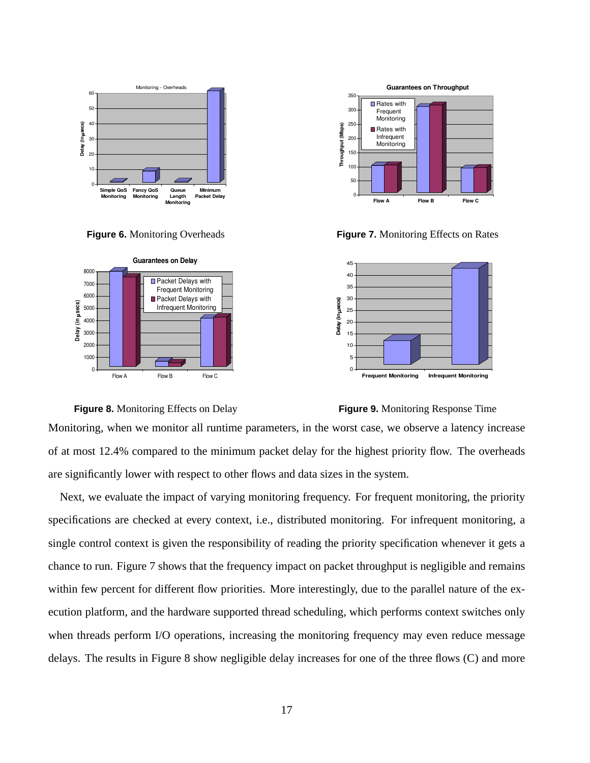

**Figure 6.** Monitoring Overheads



 $\Omega$ 50 100 150 20 250 300 350 **Throughput (Mbps) Flow B Guarantees on Throughput ■** Rates with Frequent **Monitoring** Rates with Infrequent Monitoring

**Figure 7.** Monitoring Effects on Rates





Next, we evaluate the impact of varying monitoring frequency. For frequent monitoring, the priority specifications are checked at every context, i.e., distributed monitoring. For infrequent monitoring, a single control context is given the responsibility of reading the priority specification whenever it gets a chance to run. Figure 7 shows that the frequency impact on packet throughput is negligible and remains within few percent for different flow priorities. More interestingly, due to the parallel nature of the execution platform, and the hardware supported thread scheduling, which performs context switches only when threads perform I/O operations, increasing the monitoring frequency may even reduce message delays. The results in Figure 8 show negligible delay increases for one of the three flows (C) and more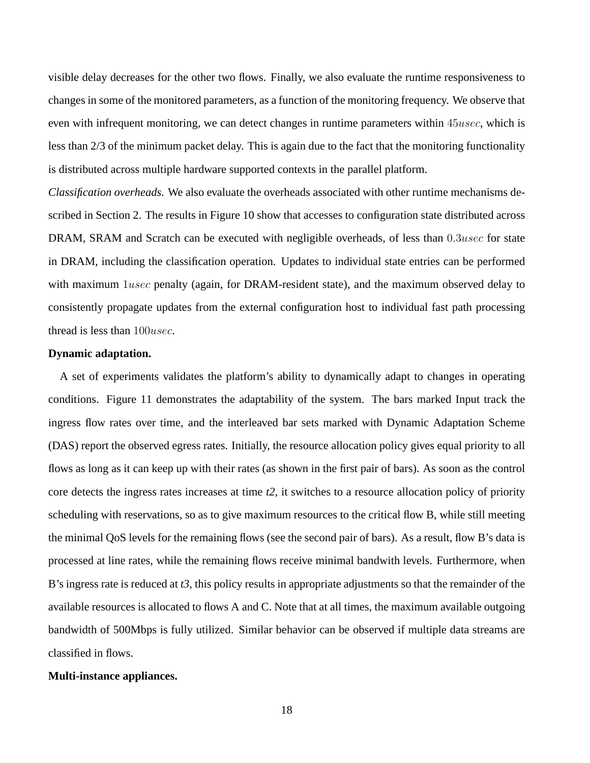visible delay decreases for the other two flows. Finally, we also evaluate the runtime responsiveness to changes in some of the monitored parameters, as a function of the monitoring frequency. We observe that even with infrequent monitoring, we can detect changes in runtime parameters within 45usec, which is less than 2/3 of the minimum packet delay. This is again due to the fact that the monitoring functionality is distributed across multiple hardware supported contexts in the parallel platform.

*Classification overheads.* We also evaluate the overheads associated with other runtime mechanisms described in Section 2. The results in Figure 10 show that accesses to configuration state distributed across DRAM, SRAM and Scratch can be executed with negligible overheads, of less than 0.3usec for state in DRAM, including the classification operation. Updates to individual state entries can be performed with maximum 1usec penalty (again, for DRAM-resident state), and the maximum observed delay to consistently propagate updates from the external configuration host to individual fast path processing thread is less than 100usec.

#### **Dynamic adaptation.**

A set of experiments validates the platform's ability to dynamically adapt to changes in operating conditions. Figure 11 demonstrates the adaptability of the system. The bars marked Input track the ingress flow rates over time, and the interleaved bar sets marked with Dynamic Adaptation Scheme (DAS) report the observed egress rates. Initially, the resource allocation policy gives equal priority to all flows as long as it can keep up with their rates (as shown in the first pair of bars). As soon as the control core detects the ingress rates increases at time *t2*, it switches to a resource allocation policy of priority scheduling with reservations, so as to give maximum resources to the critical flow B, while still meeting the minimal QoS levels for the remaining flows (see the second pair of bars). As a result, flow B's data is processed at line rates, while the remaining flows receive minimal bandwith levels. Furthermore, when B's ingress rate is reduced at *t3*, this policy results in appropriate adjustments so that the remainder of the available resources is allocated to flows A and C. Note that at all times, the maximum available outgoing bandwidth of 500Mbps is fully utilized. Similar behavior can be observed if multiple data streams are classified in flows.

#### **Multi-instance appliances.**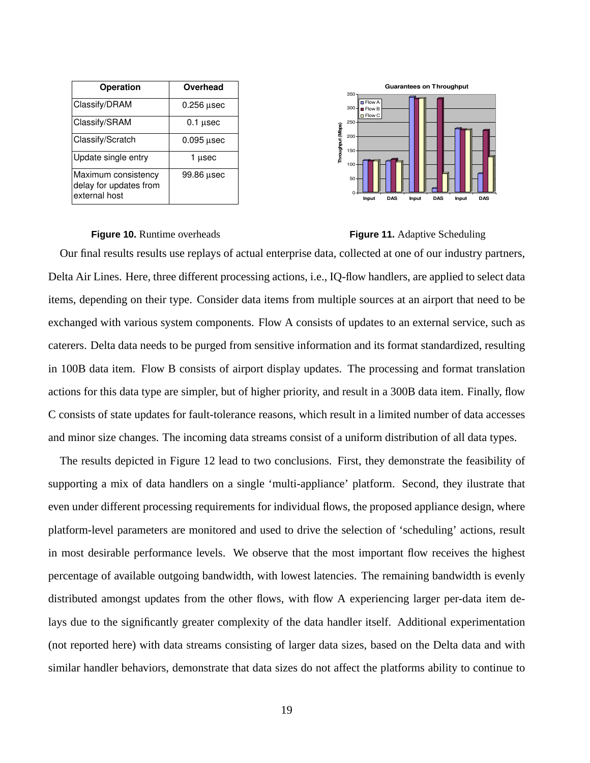| <b>Operation</b>                                               | Overhead     |
|----------------------------------------------------------------|--------------|
| Classify/DRAM                                                  | $0.256$ usec |
| Classify/SRAM                                                  | $0.1$ usec   |
| Classify/Scratch                                               | $0.095$ usec |
| Update single entry                                            | 1 µsec       |
| Maximum consistency<br>delay for updates from<br>external host | 99.86 µsec   |



#### **Figure 10.** Runtime overheads **Figure 11.** Adaptive Scheduling

Our final results results use replays of actual enterprise data, collected at one of our industry partners, Delta Air Lines. Here, three different processing actions, i.e., IQ-flow handlers, are applied to select data items, depending on their type. Consider data items from multiple sources at an airport that need to be exchanged with various system components. Flow A consists of updates to an external service, such as caterers. Delta data needs to be purged from sensitive information and its format standardized, resulting in 100B data item. Flow B consists of airport display updates. The processing and format translation actions for this data type are simpler, but of higher priority, and result in a 300B data item. Finally, flow C consists of state updates for fault-tolerance reasons, which result in a limited number of data accesses and minor size changes. The incoming data streams consist of a uniform distribution of all data types.

The results depicted in Figure 12 lead to two conclusions. First, they demonstrate the feasibility of supporting a mix of data handlers on a single 'multi-appliance' platform. Second, they ilustrate that even under different processing requirements for individual flows, the proposed appliance design, where platform-level parameters are monitored and used to drive the selection of 'scheduling' actions, result in most desirable performance levels. We observe that the most important flow receives the highest percentage of available outgoing bandwidth, with lowest latencies. The remaining bandwidth is evenly distributed amongst updates from the other flows, with flow A experiencing larger per-data item delays due to the significantly greater complexity of the data handler itself. Additional experimentation (not reported here) with data streams consisting of larger data sizes, based on the Delta data and with similar handler behaviors, demonstrate that data sizes do not affect the platforms ability to continue to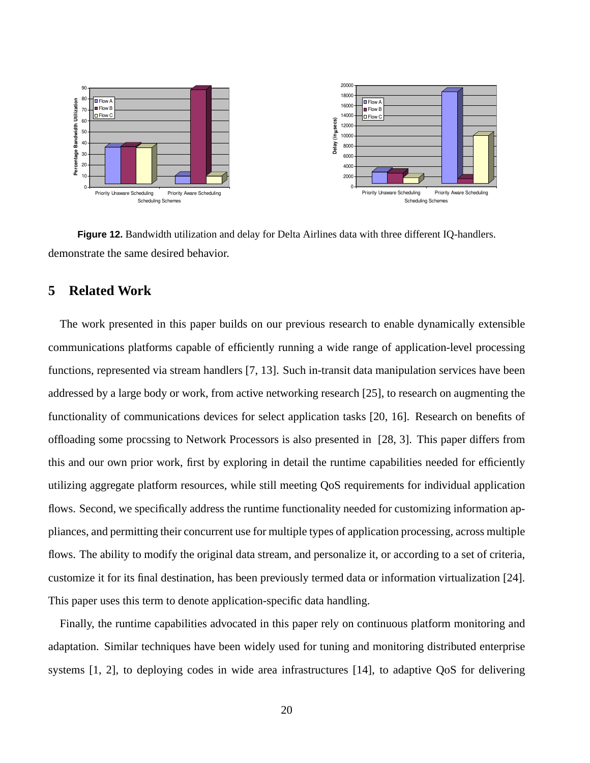

**Figure 12.** Bandwidth utilization and delay for Delta Airlines data with three different IQ-handlers. demonstrate the same desired behavior.

### **5 Related Work**

The work presented in this paper builds on our previous research to enable dynamically extensible communications platforms capable of efficiently running a wide range of application-level processing functions, represented via stream handlers [7, 13]. Such in-transit data manipulation services have been addressed by a large body or work, from active networking research [25], to research on augmenting the functionality of communications devices for select application tasks [20, 16]. Research on benefits of offloading some procssing to Network Processors is also presented in [28, 3]. This paper differs from this and our own prior work, first by exploring in detail the runtime capabilities needed for efficiently utilizing aggregate platform resources, while still meeting QoS requirements for individual application flows. Second, we specifically address the runtime functionality needed for customizing information appliances, and permitting their concurrent use for multiple types of application processing, across multiple flows. The ability to modify the original data stream, and personalize it, or according to a set of criteria, customize it for its final destination, has been previously termed data or information virtualization [24]. This paper uses this term to denote application-specific data handling.

Finally, the runtime capabilities advocated in this paper rely on continuous platform monitoring and adaptation. Similar techniques have been widely used for tuning and monitoring distributed enterprise systems [1, 2], to deploying codes in wide area infrastructures [14], to adaptive QoS for delivering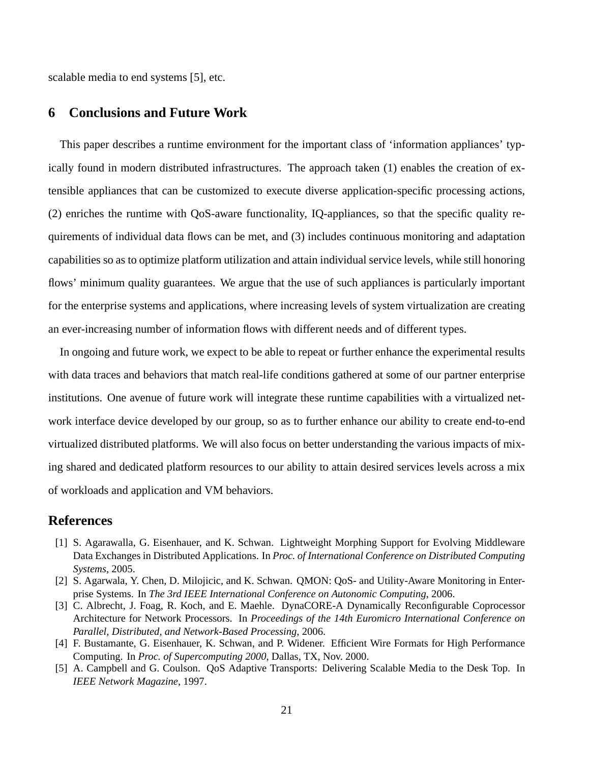scalable media to end systems [5], etc.

### **6 Conclusions and Future Work**

This paper describes a runtime environment for the important class of 'information appliances' typically found in modern distributed infrastructures. The approach taken (1) enables the creation of extensible appliances that can be customized to execute diverse application-specific processing actions, (2) enriches the runtime with QoS-aware functionality, IQ-appliances, so that the specific quality requirements of individual data flows can be met, and (3) includes continuous monitoring and adaptation capabilities so as to optimize platform utilization and attain individual service levels, while still honoring flows' minimum quality guarantees. We argue that the use of such appliances is particularly important for the enterprise systems and applications, where increasing levels of system virtualization are creating an ever-increasing number of information flows with different needs and of different types.

In ongoing and future work, we expect to be able to repeat or further enhance the experimental results with data traces and behaviors that match real-life conditions gathered at some of our partner enterprise institutions. One avenue of future work will integrate these runtime capabilities with a virtualized network interface device developed by our group, so as to further enhance our ability to create end-to-end virtualized distributed platforms. We will also focus on better understanding the various impacts of mixing shared and dedicated platform resources to our ability to attain desired services levels across a mix of workloads and application and VM behaviors.

### **References**

- [1] S. Agarawalla, G. Eisenhauer, and K. Schwan. Lightweight Morphing Support for Evolving Middleware Data Exchanges in Distributed Applications. In *Proc. of International Conference on Distributed Computing Systems*, 2005.
- [2] S. Agarwala, Y. Chen, D. Milojicic, and K. Schwan. QMON: QoS- and Utility-Aware Monitoring in Enterprise Systems. In *The 3rd IEEE International Conference on Autonomic Computing*, 2006.
- [3] C. Albrecht, J. Foag, R. Koch, and E. Maehle. DynaCORE-A Dynamically Reconfigurable Coprocessor Architecture for Network Processors. In *Proceedings of the 14th Euromicro International Conference on Parallel, Distributed, and Network-Based Processing*, 2006.
- [4] F. Bustamante, G. Eisenhauer, K. Schwan, and P. Widener. Efficient Wire Formats for High Performance Computing. In *Proc. of Supercomputing 2000*, Dallas, TX, Nov. 2000.
- [5] A. Campbell and G. Coulson. QoS Adaptive Transports: Delivering Scalable Media to the Desk Top. In *IEEE Network Magazine*, 1997.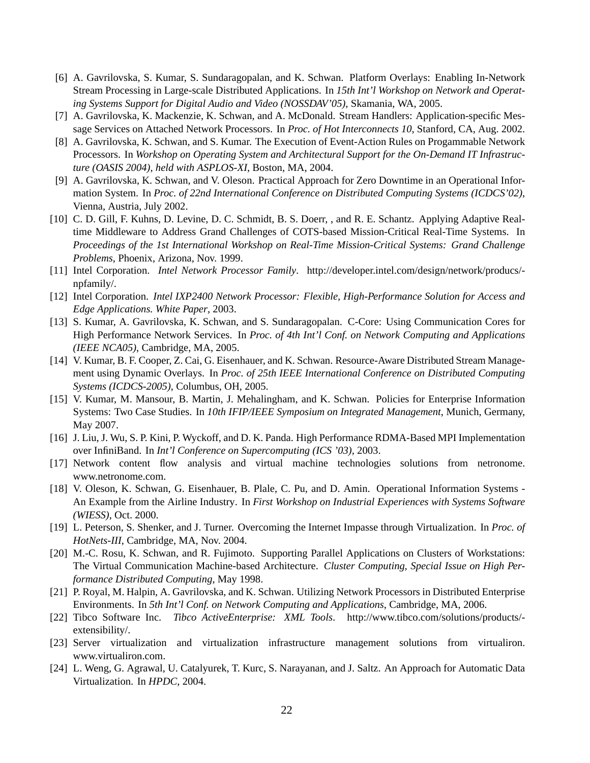- [6] A. Gavrilovska, S. Kumar, S. Sundaragopalan, and K. Schwan. Platform Overlays: Enabling In-Network Stream Processing in Large-scale Distributed Applications. In *15th Int'l Workshop on Network and Operating Systems Support for Digital Audio and Video (NOSSDAV'05)*, Skamania, WA, 2005.
- [7] A. Gavrilovska, K. Mackenzie, K. Schwan, and A. McDonald. Stream Handlers: Application-specific Message Services on Attached Network Processors. In *Proc. of Hot Interconnects 10*, Stanford, CA, Aug. 2002.
- [8] A. Gavrilovska, K. Schwan, and S. Kumar. The Execution of Event-Action Rules on Progammable Network Processors. In *Workshop on Operating System and Architectural Support for the On-Demand IT Infrastructure (OASIS 2004), held with ASPLOS-XI*, Boston, MA, 2004.
- [9] A. Gavrilovska, K. Schwan, and V. Oleson. Practical Approach for Zero Downtime in an Operational Information System. In *Proc. of 22nd International Conference on Distributed Computing Systems (ICDCS'02)*, Vienna, Austria, July 2002.
- [10] C. D. Gill, F. Kuhns, D. Levine, D. C. Schmidt, B. S. Doerr, , and R. E. Schantz. Applying Adaptive Realtime Middleware to Address Grand Challenges of COTS-based Mission-Critical Real-Time Systems. In *Proceedings of the 1st International Workshop on Real-Time Mission-Critical Systems: Grand Challenge Problems*, Phoenix, Arizona, Nov. 1999.
- [11] Intel Corporation. *Intel Network Processor Family*. http://developer.intel.com/design/network/producs/ npfamily/.
- [12] Intel Corporation. *Intel IXP2400 Network Processor: Flexible, High-Performance Solution for Access and Edge Applications. White Paper*, 2003.
- [13] S. Kumar, A. Gavrilovska, K. Schwan, and S. Sundaragopalan. C-Core: Using Communication Cores for High Performance Network Services. In *Proc. of 4th Int'l Conf. on Network Computing and Applications (IEEE NCA05)*, Cambridge, MA, 2005.
- [14] V. Kumar, B. F. Cooper, Z. Cai, G. Eisenhauer, and K. Schwan. Resource-Aware Distributed Stream Management using Dynamic Overlays. In *Proc. of 25th IEEE International Conference on Distributed Computing Systems (ICDCS-2005)*, Columbus, OH, 2005.
- [15] V. Kumar, M. Mansour, B. Martin, J. Mehalingham, and K. Schwan. Policies for Enterprise Information Systems: Two Case Studies. In *10th IFIP/IEEE Symposium on Integrated Management*, Munich, Germany, May 2007.
- [16] J. Liu, J. Wu, S. P. Kini, P. Wyckoff, and D. K. Panda. High Performance RDMA-Based MPI Implementation over InfiniBand. In *Int'l Conference on Supercomputing (ICS '03)*, 2003.
- [17] Network content flow analysis and virtual machine technologies solutions from netronome. www.netronome.com.
- [18] V. Oleson, K. Schwan, G. Eisenhauer, B. Plale, C. Pu, and D. Amin. Operational Information Systems An Example from the Airline Industry. In *First Workshop on Industrial Experiences with Systems Software (WIESS)*, Oct. 2000.
- [19] L. Peterson, S. Shenker, and J. Turner. Overcoming the Internet Impasse through Virtualization. In *Proc. of HotNets-III*, Cambridge, MA, Nov. 2004.
- [20] M.-C. Rosu, K. Schwan, and R. Fujimoto. Supporting Parallel Applications on Clusters of Workstations: The Virtual Communication Machine-based Architecture. *Cluster Computing, Special Issue on High Performance Distributed Computing*, May 1998.
- [21] P. Royal, M. Halpin, A. Gavrilovska, and K. Schwan. Utilizing Network Processors in Distributed Enterprise Environments. In *5th Int'l Conf. on Network Computing and Applications*, Cambridge, MA, 2006.
- [22] Tibco Software Inc. *Tibco ActiveEnterprise: XML Tools*. http://www.tibco.com/solutions/products/ extensibility/.
- [23] Server virtualization and virtualization infrastructure management solutions from virtualiron. www.virtualiron.com.
- [24] L. Weng, G. Agrawal, U. Catalyurek, T. Kurc, S. Narayanan, and J. Saltz. An Approach for Automatic Data Virtualization. In *HPDC*, 2004.